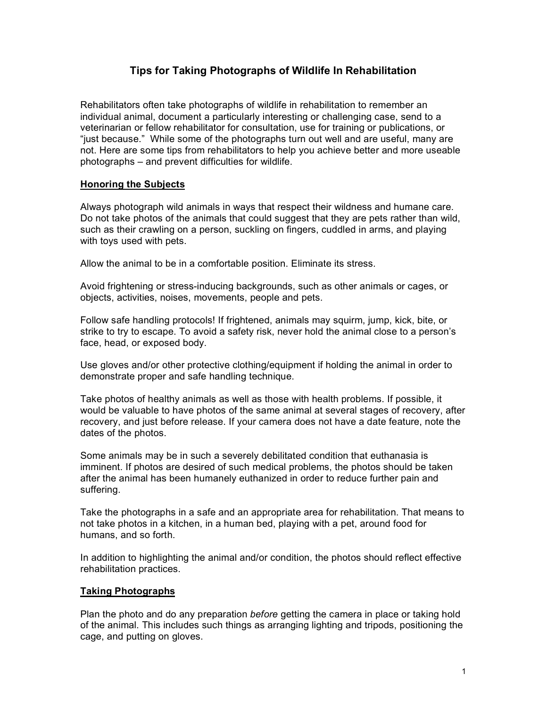# **Tips for Taking Photographs of Wildlife In Rehabilitation**

Rehabilitators often take photographs of wildlife in rehabilitation to remember an individual animal, document a particularly interesting or challenging case, send to a veterinarian or fellow rehabilitator for consultation, use for training or publications, or "just because." While some of the photographs turn out well and are useful, many are not. Here are some tips from rehabilitators to help you achieve better and more useable photographs – and prevent difficulties for wildlife.

# **Honoring the Subjects**

Always photograph wild animals in ways that respect their wildness and humane care. Do not take photos of the animals that could suggest that they are pets rather than wild, such as their crawling on a person, suckling on fingers, cuddled in arms, and playing with toys used with pets.

Allow the animal to be in a comfortable position. Eliminate its stress.

Avoid frightening or stress-inducing backgrounds, such as other animals or cages, or objects, activities, noises, movements, people and pets.

Follow safe handling protocols! If frightened, animals may squirm, jump, kick, bite, or strike to try to escape. To avoid a safety risk, never hold the animal close to a person's face, head, or exposed body.

Use gloves and/or other protective clothing/equipment if holding the animal in order to demonstrate proper and safe handling technique.

Take photos of healthy animals as well as those with health problems. If possible, it would be valuable to have photos of the same animal at several stages of recovery, after recovery, and just before release. If your camera does not have a date feature, note the dates of the photos.

Some animals may be in such a severely debilitated condition that euthanasia is imminent. If photos are desired of such medical problems, the photos should be taken after the animal has been humanely euthanized in order to reduce further pain and suffering.

Take the photographs in a safe and an appropriate area for rehabilitation. That means to not take photos in a kitchen, in a human bed, playing with a pet, around food for humans, and so forth.

In addition to highlighting the animal and/or condition, the photos should reflect effective rehabilitation practices.

### **Taking Photographs**

Plan the photo and do any preparation *before* getting the camera in place or taking hold of the animal. This includes such things as arranging lighting and tripods, positioning the cage, and putting on gloves.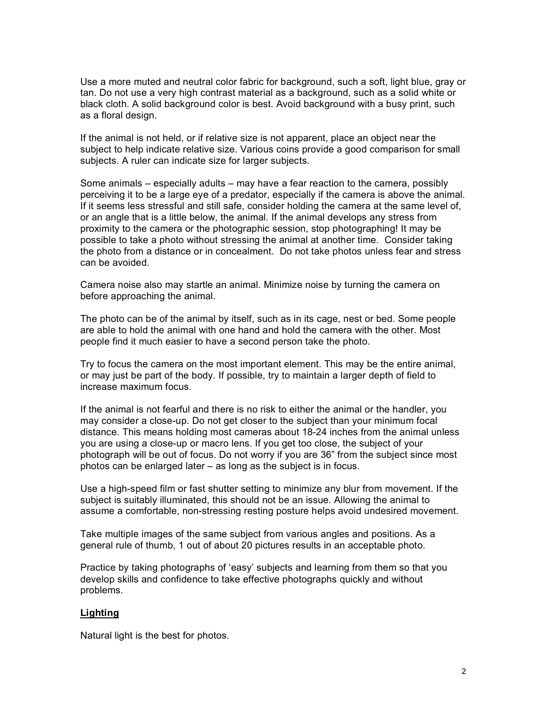Use a more muted and neutral color fabric for background, such a soft, light blue, gray or tan. Do not use a very high contrast material as a background, such as a solid white or black cloth. A solid background color is best. Avoid background with a busy print, such as a floral design.

If the animal is not held, or if relative size is not apparent, place an object near the subject to help indicate relative size. Various coins provide a good comparison for small subjects. A ruler can indicate size for larger subjects.

Some animals – especially adults – may have a fear reaction to the camera, possibly perceiving it to be a large eye of a predator, especially if the camera is above the animal. If it seems less stressful and still safe, consider holding the camera at the same level of, or an angle that is a little below, the animal. If the animal develops any stress from proximity to the camera or the photographic session, stop photographing! It may be possible to take a photo without stressing the animal at another time. Consider taking the photo from a distance or in concealment. Do not take photos unless fear and stress can be avoided.

Camera noise also may startle an animal. Minimize noise by turning the camera on before approaching the animal.

The photo can be of the animal by itself, such as in its cage, nest or bed. Some people are able to hold the animal with one hand and hold the camera with the other. Most people find it much easier to have a second person take the photo.

Try to focus the camera on the most important element. This may be the entire animal, or may just be part of the body. If possible, try to maintain a larger depth of field to increase maximum focus.

If the animal is not fearful and there is no risk to either the animal or the handler, you may consider a close-up. Do not get closer to the subject than your minimum focal distance. This means holding most cameras about 18-24 inches from the animal unless you are using a close-up or macro lens. If you get too close, the subject of your photograph will be out of focus. Do not worry if you are 36" from the subject since most photos can be enlarged later – as long as the subject is in focus.

Use a high-speed film or fast shutter setting to minimize any blur from movement. If the subject is suitably illuminated, this should not be an issue. Allowing the animal to assume a comfortable, non-stressing resting posture helps avoid undesired movement.

Take multiple images of the same subject from various angles and positions. As a general rule of thumb, 1 out of about 20 pictures results in an acceptable photo.

Practice by taking photographs of 'easy' subjects and learning from them so that you develop skills and confidence to take effective photographs quickly and without problems.

### **Lighting**

Natural light is the best for photos.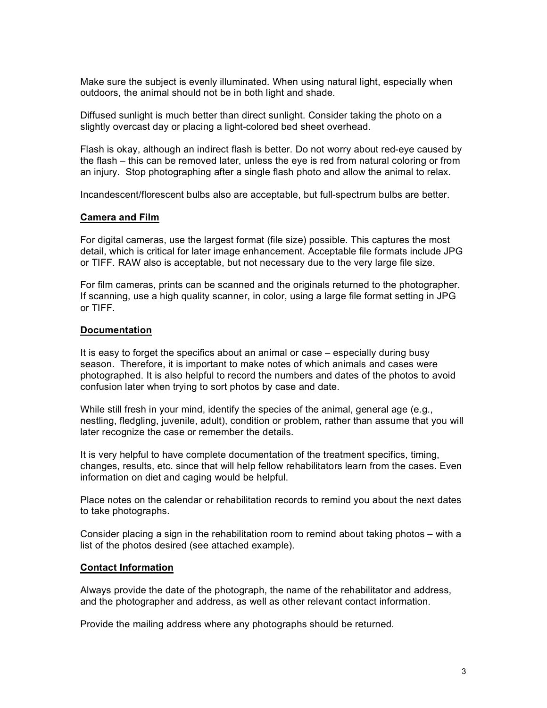Make sure the subject is evenly illuminated. When using natural light, especially when outdoors, the animal should not be in both light and shade.

Diffused sunlight is much better than direct sunlight. Consider taking the photo on a slightly overcast day or placing a light-colored bed sheet overhead.

Flash is okay, although an indirect flash is better. Do not worry about red-eye caused by the flash – this can be removed later, unless the eye is red from natural coloring or from an injury. Stop photographing after a single flash photo and allow the animal to relax.

Incandescent/florescent bulbs also are acceptable, but full-spectrum bulbs are better.

#### **Camera and Film**

For digital cameras, use the largest format (file size) possible. This captures the most detail, which is critical for later image enhancement. Acceptable file formats include JPG or TIFF. RAW also is acceptable, but not necessary due to the very large file size.

For film cameras, prints can be scanned and the originals returned to the photographer. If scanning, use a high quality scanner, in color, using a large file format setting in JPG or TIFF.

#### **Documentation**

It is easy to forget the specifics about an animal or case – especially during busy season. Therefore, it is important to make notes of which animals and cases were photographed. It is also helpful to record the numbers and dates of the photos to avoid confusion later when trying to sort photos by case and date.

While still fresh in your mind, identify the species of the animal, general age (e.g., nestling, fledgling, juvenile, adult), condition or problem, rather than assume that you will later recognize the case or remember the details.

It is very helpful to have complete documentation of the treatment specifics, timing, changes, results, etc. since that will help fellow rehabilitators learn from the cases. Even information on diet and caging would be helpful.

Place notes on the calendar or rehabilitation records to remind you about the next dates to take photographs.

Consider placing a sign in the rehabilitation room to remind about taking photos – with a list of the photos desired (see attached example).

#### **Contact Information**

Always provide the date of the photograph, the name of the rehabilitator and address, and the photographer and address, as well as other relevant contact information.

Provide the mailing address where any photographs should be returned.